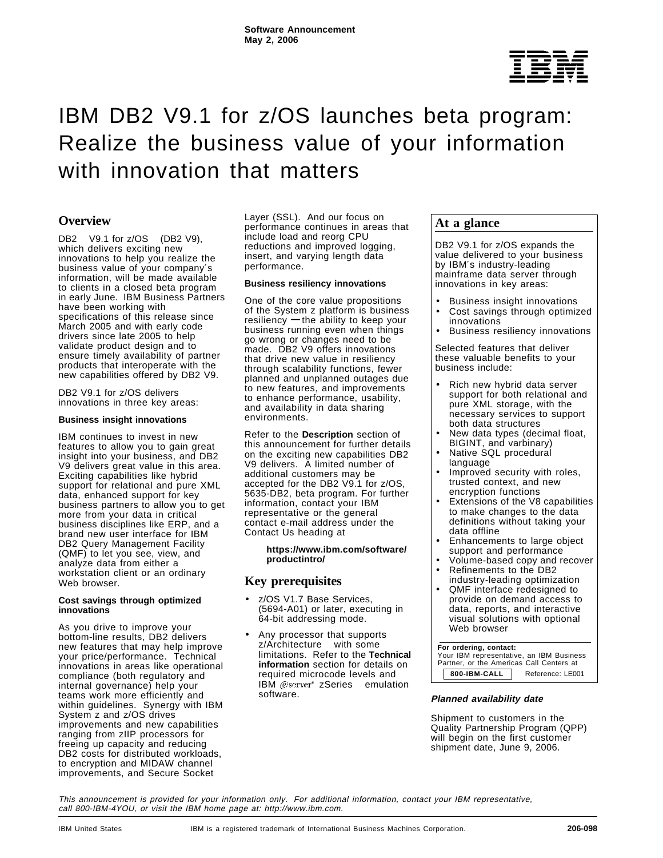

# IBM DB2 V9.1 for z/OS launches beta program: Realize the business value of your information with innovation that matters

# **Overview**

DB2<sup>®</sup> V9.1 for z/OS<sup>®</sup> (DB2 V9), which delivers exciting new innovations to help you realize the business value of your company′s information, will be made available to clients in a closed beta program in early June. IBM Business Partners have been working with specifications of this release since March 2005 and with early code drivers since late 2005 to help validate product design and to ensure timely availability of partner products that interoperate with the new capabilities offered by DB2 V9.

DB2 V9.1 for z/OS delivers innovations in three key areas:

#### **Business insight innovations**

IBM continues to invest in new features to allow you to gain great insight into your business, and DB2 V9 delivers great value in this area. Exciting capabilities like hybrid support for relational and pure XML data, enhanced support for key business partners to allow you to get more from your data in critical business disciplines like ERP, and a brand new user interface for IBM DB2 Query Management Facility (QMF) to let you see, view, and analyze data from either a workstation client or an ordinary Web browser.

#### **Cost savings through optimized innovations**

As you drive to improve your bottom-line results, DB2 delivers new features that may help improve your price/performance. Technical innovations in areas like operational compliance (both regulatory and internal governance) help your teams work more efficiently and within guidelines. Synergy with IBM System z and z/OS drives improvements and new capabilities ranging from zIIP processors for freeing up capacity and reducing DB2 costs for distributed workloads, to encryption and MIDAW channel improvements, and Secure Socket

Layer (SSL). And our focus on performance continues in areas that include load and reorg CPU reductions and improved logging, insert, and varying length data performance.

#### **Business resiliency innovations**

One of the core value propositions of the System z platform is business resiliency **—** the ability to keep your business running even when things go wrong or changes need to be made. DB2 V9 offers innovations that drive new value in resiliency through scalability functions, fewer planned and unplanned outages due to new features, and improvements to enhance performance, usability, and availability in data sharing environments.

Refer to the **Description** section of this announcement for further details on the exciting new capabilities DB2 V9 delivers. A limited number of additional customers may be accepted for the DB2 V9.1 for z/OS, 5635-DB2, beta program. For further information, contact your IBM representative or the general contact e-mail address under the Contact Us heading at

> **https://www.ibm.com/software/ productintro/**

## **Key prerequisites**

- z/OS V1.7 Base Services, (5694-A01) or later, executing in 64-bit addressing mode.
- Any processor that supports z/Architecture<sup>™</sup> with some limitations. Refer to the **Technical information** section for details on required microcode levels and IBM @server<sup>®</sup> zSeries<sup>®</sup> emulation software.

## **At a glance**

DB2 V9.1 for z/OS expands the value delivered to your business by IBM′s industry-leading mainframe data server through innovations in key areas:

- Business insight innovations Cost savings through optimized
- innovations
- Business resiliency innovations

Selected features that deliver these valuable benefits to your business include:

- Rich new hybrid data server support for both relational and pure XML storage, with the necessary services to support both data structures
- New data types (decimal float, BIGINT, and varbinary)
- Native SQL procedural language
- Improved security with roles, trusted context, and new encryption functions
- Extensions of the V8 capabilities to make changes to the data definitions without taking your data offline
- Enhancements to large object support and performance
- Volume-based copy and recover
- Refinements to the DB2 industry-leading optimization
- QMF interface redesigned to provide on demand access to data, reports, and interactive visual solutions with optional Web browser

#### **For ordering, contact:**

| . v. v. av. g. voav<br>Your IBM representative, an IBM Business<br>Partner, or the Americas Call Centers at |                  |  |  |
|-------------------------------------------------------------------------------------------------------------|------------------|--|--|
| 800-IBM-CALL                                                                                                | Reference: LE001 |  |  |

#### **Planned availability date**

Shipment to customers in the Quality Partnership Program (QPP) will begin on the first customer shipment date, June 9, 2006.

This announcement is provided for your information only. For additional information, contact your IBM representative, call 800-IBM-4YOU, or visit the IBM home page at: http://www.ibm.com.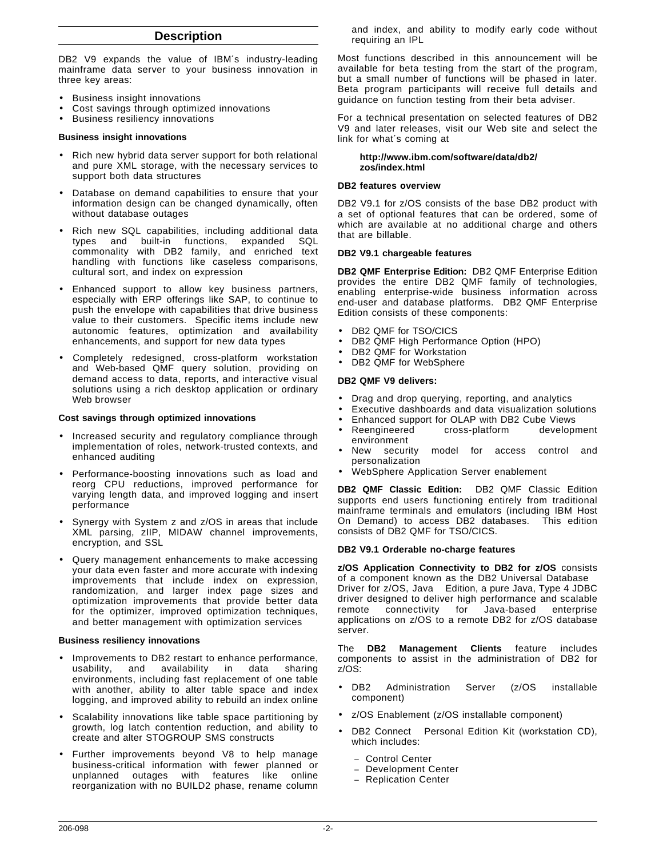## **Description**

DB2 V9 expands the value of IBM's industry-leading mainframe data server to your business innovation in three key areas:

- Business insight innovations
- Cost savings through optimized innovations
- Business resiliency innovations

#### **Business insight innovations**

- Rich new hybrid data server support for both relational and pure XML storage, with the necessary services to support both data structures
- Database on demand capabilities to ensure that your information design can be changed dynamically, often without database outages
- Rich new SQL capabilities, including additional data types and built-in functions, expanded SQL commonality with DB2 family, and enriched text handling with functions like caseless comparisons, cultural sort, and index on expression
- Enhanced support to allow key business partners, especially with ERP offerings like SAP, to continue to push the envelope with capabilities that drive business value to their customers. Specific items include new autonomic features, optimization and availability enhancements, and support for new data types
- Completely redesigned, cross-platform workstation and Web-based QMF query solution, providing on demand access to data, reports, and interactive visual solutions using a rich desktop application or ordinary Web browser

#### **Cost savings through optimized innovations**

- Increased security and regulatory compliance through implementation of roles, network-trusted contexts, and enhanced auditing
- Performance-boosting innovations such as load and reorg CPU reductions, improved performance for varying length data, and improved logging and insert performance
- Synergy with System z and z/OS in areas that include XML parsing, zIIP, MIDAW channel improvements, encryption, and SSL
- Query management enhancements to make accessing your data even faster and more accurate with indexing improvements that include index on expression, randomization, and larger index page sizes and optimization improvements that provide better data for the optimizer, improved optimization techniques, and better management with optimization services

#### **Business resiliency innovations**

- Improvements to DB2 restart to enhance performance,<br>usability, and availability in data sharing usability, and availability in data sharing environments, including fast replacement of one table with another, ability to alter table space and index logging, and improved ability to rebuild an index online
- Scalability innovations like table space partitioning by growth, log latch contention reduction, and ability to create and alter STOGROUP SMS constructs
- Further improvements beyond V8 to help manage business-critical information with fewer planned or unplanned outages with features like online reorganization with no BUILD2 phase, rename column

and index, and ability to modify early code without requiring an IPL

Most functions described in this announcement will be available for beta testing from the start of the program, but a small number of functions will be phased in later. Beta program participants will receive full details and guidance on function testing from their beta adviser.

For a technical presentation on selected features of DB2 V9 and later releases, visit our Web site and select the link for what′s coming at

#### **http://www.ibm.com/software/data/db2/ zos/index.html**

#### **DB2 features overview**

DB2 V9.1 for z/OS consists of the base DB2 product with a set of optional features that can be ordered, some of which are available at no additional charge and others that are billable.

#### **DB2 V9.1 chargeable features**

**DB2 QMF Enterprise Edition:** DB2 QMF Enterprise Edition provides the entire DB2 QMF family of technologies, enabling enterprise-wide business information across end-user and database platforms. DB2 QMF Enterprise Edition consists of these components:

- DB2 QMF for TSO/CICS®
- DB2 QMF High Performance Option (HPO)
- DB2 QMF for Workstation
- DB2 QMF for WebSphere®

#### **DB2 QMF V9 delivers:**

- Drag and drop querying, reporting, and analytics
- Executive dashboards and data visualization solutions
- Enhanced support for OLAP with DB2 Cube Views<sup>®</sup><br>• Reengineered cross-platform development
- cross-platform environment
- New security model for access control and personalization
- WebSphere Application Server enablement

**DB2 QMF Classic Edition:** DB2 QMF Classic Edition supports end users functioning entirely from traditional mainframe terminals and emulators (including IBM Host On Demand) to access DB2 databases. This edition consists of DB2 QMF for TSO/CICS.

#### **DB2 V9.1 Orderable no-charge features**

**z/OS Application Connectivity to DB2 for z/OS** consists of a component known as the DB2 Universal Database Driver for z/OS, Java<sup>™</sup> Edition, a pure Java, Type 4 JDBC driver designed to deliver high performance and scalable remote connectivity for Java-based enterprise applications on z/OS to a remote DB2 for z/OS database server.

The **DB2 Management Clients** feature includes components to assist in the administration of DB2 for z/OS:

- DB2 Administration Server (z/OS installable component)
- z/OS Enablement (z/OS installable component)
- DB2 Connect<sup>®</sup> Personal Edition Kit (workstation CD), which includes:
	- − Control Center
	- − Development Center
	- − Replication Center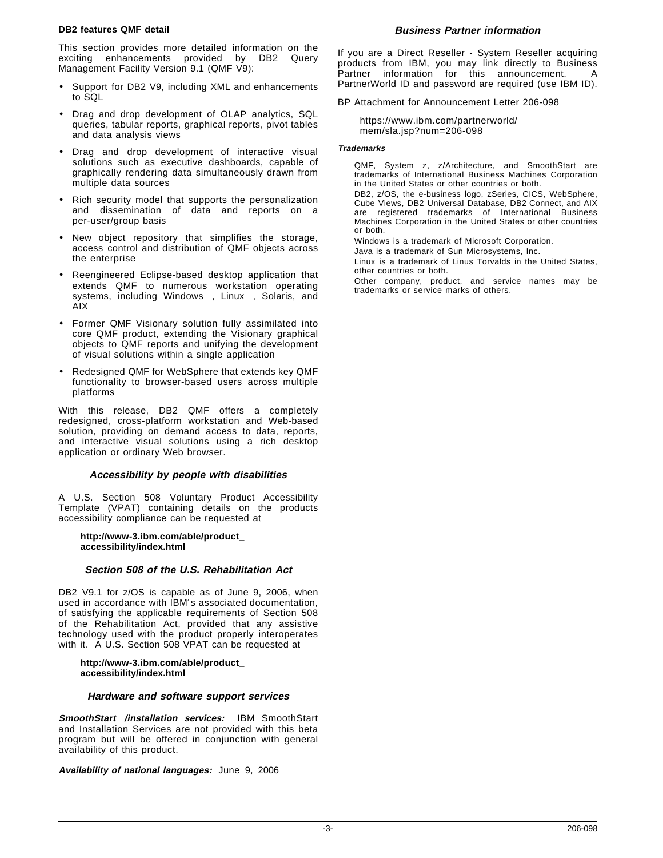#### **DB2 features QMF detail**

This section provides more detailed information on the exciting enhancements provided by DB2 Query Management Facility Version 9.1 (QMF V9):

- Support for DB2 V9, including XML and enhancements to SQL
- Drag and drop development of OLAP analytics, SQL queries, tabular reports, graphical reports, pivot tables and data analysis views
- Drag and drop development of interactive visual solutions such as executive dashboards, capable of graphically rendering data simultaneously drawn from multiple data sources
- Rich security model that supports the personalization and dissemination of data and reports on a per-user/group basis
- New object repository that simplifies the storage, access control and distribution of QMF objects across the enterprise
- Reengineered Eclipse-based desktop application that extends QMF to numerous workstation operating systems, including Windows™, Linux™, Solaris, and **AIX®**
- Former QMF Visionary solution fully assimilated into core QMF product, extending the Visionary graphical objects to QMF reports and unifying the development of visual solutions within a single application
- Redesigned QMF for WebSphere that extends key QMF functionality to browser-based users across multiple platforms

With this release, DB2 QMF offers a completely redesigned, cross-platform workstation and Web-based solution, providing on demand access to data, reports, and interactive visual solutions using a rich desktop application or ordinary Web browser.

#### **Accessibility by people with disabilities**

A U.S. Section 508 Voluntary Product Accessibility Template (VPAT) containing details on the products accessibility compliance can be requested at

#### **http://www-3.ibm.com/able/product\_ accessibility/index.html**

#### **Section 508 of the U.S. Rehabilitation Act**

DB2 V9.1 for z/OS is capable as of June 9, 2006, when used in accordance with IBM′s associated documentation, of satisfying the applicable requirements of Section 508 of the Rehabilitation Act, provided that any assistive technology used with the product properly interoperates with it. A U.S. Section 508 VPAT can be requested at

#### **http://www-3.ibm.com/able/product\_ accessibility/index.html**

#### **Hardware and software support services**

**SmoothStart<sup>™</sup>/installation services: IBM SmoothStart** and Installation Services are not provided with this beta program but will be offered in conjunction with general availability of this product.

**Availability of national languages:** June 9, 2006

#### **Business Partner information**

If you are a Direct Reseller - System Reseller acquiring products from IBM, you may link directly to Business Partner information for this announcement. PartnerWorld ID and password are required (use IBM ID).

BP Attachment for Announcement Letter 206-098

https://www.ibm.com/partnerworld/ mem/sla.jsp?num=206-098

#### **Trademarks**

QMF, System z, z/Architecture, and SmoothStart are trademarks of International Business Machines Corporation in the United States or other countries or both.

DB2, z/OS, the e-business logo, zSeries, CICS, WebSphere, Cube Views, DB2 Universal Database, DB2 Connect, and AIX are registered trademarks of International Business Machines Corporation in the United States or other countries or both.

Windows is a trademark of Microsoft Corporation.

Java is a trademark of Sun Microsystems, Inc.

Linux is a trademark of Linus Torvalds in the United States, other countries or both.

Other company, product, and service names may be trademarks or service marks of others.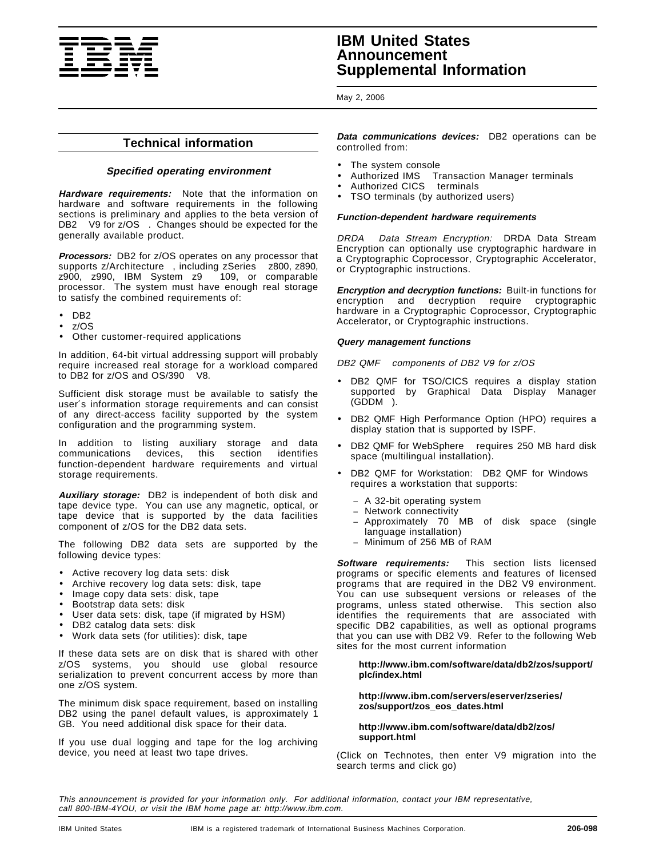

# **IBM United States Announcement Supplemental Information**

May 2, 2006

# **Technical information**

#### **Specified operating environment**

**Hardware requirements:** Note that the information on hardware and software requirements in the following sections is preliminary and applies to the beta version of DB2<sup>®</sup> V9 for z/OS<sup>®</sup>. Changes should be expected for the generally available product.

**Processors:** DB2 for z/OS operates on any processor that supports z/Architecture™, including zSeries<sup>®</sup> z800, z890,  $z900$ ,  $z990$ , IBM System  $z9^{\pi}$  109, or comparable processor. The system must have enough real storage to satisfy the combined requirements of:

- DB2
- z/OS
- Other customer-required applications

In addition, 64-bit virtual addressing support will probably require increased real storage for a workload compared to DB2 for  $z/OS$  and  $OS/390\$  V8.

Sufficient disk storage must be available to satisfy the user′s information storage requirements and can consist of any direct-access facility supported by the system configuration and the programming system.

In addition to listing auxiliary storage and data communications devices, this section identifies function-dependent hardware requirements and virtual storage requirements.

**Auxiliary storage:** DB2 is independent of both disk and tape device type. You can use any magnetic, optical, or tape device that is supported by the data facilities component of z/OS for the DB2 data sets.

The following DB2 data sets are supported by the following device types:

- Active recovery log data sets: disk
- Archive recovery log data sets: disk, tape
- Image copy data sets: disk, tape
- Bootstrap data sets: disk
- User data sets: disk, tape (if migrated by HSM)
- DB2 catalog data sets: disk
- Work data sets (for utilities): disk, tape

If these data sets are on disk that is shared with other z/OS systems, you should use global resource serialization to prevent concurrent access by more than one z/OS system.

The minimum disk space requirement, based on installing DB2 using the panel default values, is approximately 1 GB. You need additional disk space for their data.

If you use dual logging and tape for the log archiving device, you need at least two tape drives.

**Data communications devices:** DB2 operations can be controlled from:

- The system console
- Authorized IMS™ Transaction Manager terminals
- Authorized CICS<sup>®</sup> terminals
- TSO terminals (by authorized users)

#### **Function-dependent hardware requirements**

DRDA® Data Stream Encryption: DRDA Data Stream Encryption can optionally use cryptographic hardware in a Cryptographic Coprocessor, Cryptographic Accelerator, or Cryptographic instructions.

**Encryption and decryption functions:** Built-in functions for encryption and decryption require cryptographic hardware in a Cryptographic Coprocessor, Cryptographic Accelerator, or Cryptographic instructions.

#### **Query management functions**

DB2 QMF™ components of DB2 V9 for z/OS

- DB2 QMF for TSO/CICS requires a display station supported by Graphical Data Display Manager  $(GDDM@).$
- DB2 QMF High Performance Option (HPO) requires a display station that is supported by ISPF.
- DB2 QMF for WebSphere<sup>®</sup> requires 250 MB hard disk space (multilingual installation).
- DB2 QMF for Workstation: DB2 QMF for Windows™ requires a workstation that supports:
	- − A 32-bit operating system
	- − Network connectivity
	- − Approximately 70 MB of disk space (single language installation)
	- − Minimum of 256 MB of RAM

**Software requirements:** This section lists licensed programs or specific elements and features of licensed programs that are required in the DB2 V9 environment. You can use subsequent versions or releases of the programs, unless stated otherwise. This section also identifies the requirements that are associated with specific DB2 capabilities, as well as optional programs that you can use with DB2 V9. Refer to the following Web sites for the most current information

#### **http://www.ibm.com/software/data/db2/zos/support/ plc/index.html**

#### **http://www.ibm.com/servers/eserver/zseries/ zos/support/zos\_eos\_dates.html**

#### **http://www.ibm.com/software/data/db2/zos/ support.html**

(Click on Technotes, then enter V9 migration into the search terms and click go)

This announcement is provided for your information only. For additional information, contact your IBM representative, call 800-IBM-4YOU, or visit the IBM home page at: http://www.ibm.com.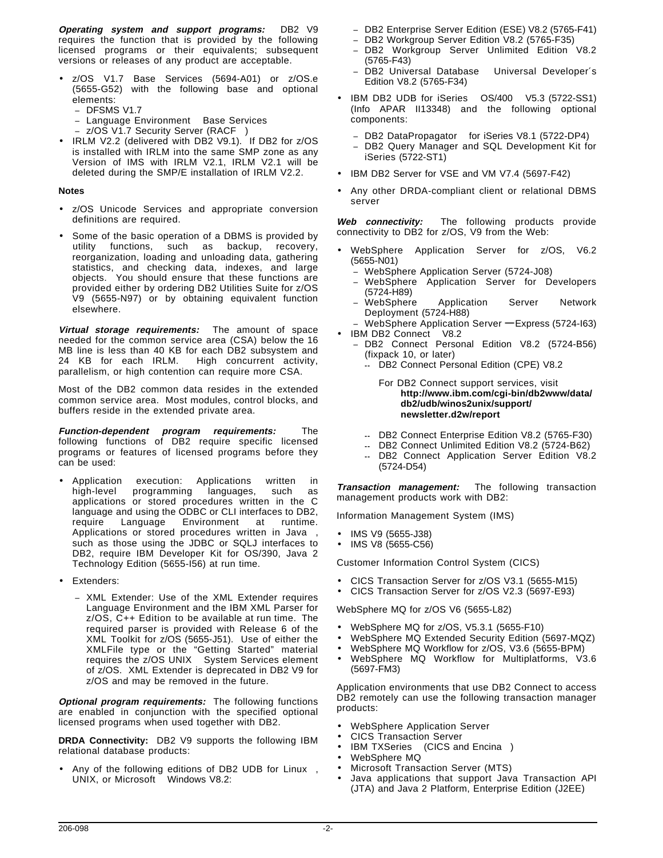**Operating system and support programs:** DB2 V9 requires the function that is provided by the following licensed programs or their equivalents; subsequent versions or releases of any product are acceptable.

- z/OS V1.7 Base Services (5694-A01) or z/OS.e (5655-G52) with the following base and optional elements:
	- DFSMS V1.7
	- − Language Environment Base Services
	- z/OS V1.7 Security Server (RACF<sup>®</sup>)
- IRLM V2.2 (delivered with DB2 V9.1). If DB2 for z/OS is installed with IRLM into the same SMP zone as any Version of IMS with IRLM V2.1, IRLM V2.1 will be deleted during the SMP/E installation of IRLM V2.2.

#### **Notes**

- z/OS Unicode Services and appropriate conversion definitions are required.
- Some of the basic operation of a DBMS is provided by utility functions, such as backup, recovery, reorganization, loading and unloading data, gathering statistics, and checking data, indexes, and large objects. You should ensure that these functions are provided either by ordering DB2 Utilities Suite for z/OS V9 (5655-N97) or by obtaining equivalent function elsewhere.

**Virtual storage requirements:** The amount of space needed for the common service area (CSA) below the 16 MB line is less than 40 KB for each DB2 subsystem and 24 KB for each IRLM. High concurrent activity, parallelism, or high contention can require more CSA.

Most of the DB2 common data resides in the extended common service area. Most modules, control blocks, and buffers reside in the extended private area.

**Function-dependent program requirements:** The following functions of DB2 require specific licensed programs or features of licensed programs before they can be used:

- Application execution: Applications written in high-level programming languages, such as applications or stored procedures written in the C language and using the ODBC or CLI interfaces to DB2, require Language Environment at runtime. Applications or stored procedures written in Java™, such as those using the JDBC or SQLJ interfaces to DB2, require IBM Developer Kit for OS/390, Java 2 Technology Edition (5655-I56) at run time.
- Extenders:
	- − XML Extender: Use of the XML Extender requires Language Environment and the IBM XML Parser for  $z/O\tilde{S}$ ,  $\tilde{C}$ ++ Edition to be available at run time. The required parser is provided with Release 6 of the XML Toolkit for z/OS (5655-J51). Use of either the XMLFile type or the "Getting Started" material requires the z/OS UNIX<sup>®</sup> System Services element of z/OS. XML Extender is deprecated in DB2 V9 for z/OS and may be removed in the future.

**Optional program requirements:** The following functions are enabled in conjunction with the specified optional licensed programs when used together with DB2.

**DRDA Connectivity:** DB2 V9 supports the following IBM relational database products:

Any of the following editions of DB2 UDB for Linux<sup> $M$ </sup>, UNIX, or Microsoft™ Windows V8.2:

- − DB2 Enterprise Server Edition (ESE) V8.2 (5765-F41)
- − DB2 Workgroup Server Edition V8.2 (5765-F35)
- − DB2 Workgroup Server Unlimited Edition V8.2 (5765-F43)
- − DB2 Universal Database Universal Developer′s Edition V8.2 (5765-F34)
- IBM DB2 UDB for iSeries™ OS/400® V5.3 (5722-SS1) (Info APAR II13348) and the following optional components:
	- DB2 DataPropagator<sup>™</sup> for iSeries V8.1 (5722-DP4)
	- DB2 Query Manager and SQL Development Kit for iSeries (5722-ST1)
- IBM DB2 Server for VSE and VM V7.4 (5697-F42)
- Any other DRDA-compliant client or relational DBMS server

**Web connectivity:** The following products provide connectivity to DB2 for z/OS, V9 from the Web:

- WebSphere Application Server for z/OS, V6.2 (5655-N01)
	- − WebSphere Application Server (5724-J08)
	- − WebSphere Application Server for Developers (5724-H89)
	- WebSphere Application Server Network Deployment (5724-H88)
	- <sup>−</sup> WebSphere Application Server **—** Express (5724-I63) IBM DB2 Connect<sup>®</sup> V8.2
	- − DB2 Connect Personal Edition V8.2 (5724-B56) (fixpack 10, or later)
		- **--** DB2 Connect Personal Edition (CPE) V8.2

For DB2 Connect support services, visit **http://www.ibm.com/cgi-bin/db2www/data/ db2/udb/winos2unix/support/ newsletter.d2w/report**

- **--** DB2 Connect Enterprise Edition V8.2 (5765-F30)
- DB2 Connect Unlimited Edition V8.2 (5724-B62)
- **--** DB2 Connect Application Server Edition V8.2 (5724-D54)

**Transaction management:** The following transaction management products work with DB2:

Information Management System (IMS)

- IMS V9 (5655-J38)
- IMS V8 (5655-C56)

Customer Information Control System (CICS)

- CICS Transaction Server for z/OS V3.1 (5655-M15)
- CICS Transaction Server for z/OS V2.3 (5697-E93)

WebSphere MQ for z/OS V6 (5655-L82)

- WebSphere MQ for z/OS, V5.3.1 (5655-F10)
- WebSphere MQ Extended Security Edition (5697-MQZ)
- WebSphere MQ Workflow for z/OS, V3.6 (5655-BPM)
- WebSphere MQ Workflow for Multiplatforms, V3.6 (5697-FM3)

Application environments that use DB2 Connect to access DB2 remotely can use the following transaction manager products:

- WebSphere Application Server
- CICS Transaction Server
- IBM TXSeries™ (CICS and Encina®)
	- WebSphere MQ
- Microsoft Transaction Server (MTS)
- Java applications that support Java Transaction API (JTA) and Java 2 Platform, Enterprise Edition (J2EE)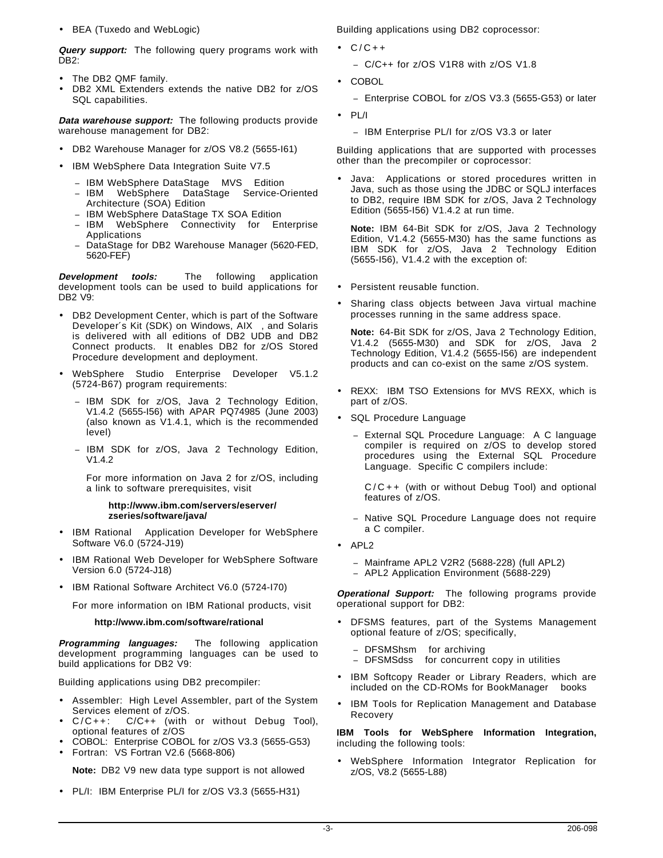• BEA (Tuxedo and WebLogic)

**Query support:** The following query programs work with DB2:

- The DB2 QMF family.
- DB2 XML Extenders extends the native DB2 for z/OS SQL capabilities.

**Data warehouse support:** The following products provide warehouse management for DB2:

- DB2 Warehouse Manager for z/OS V8.2 (5655-I61)
- IBM WebSphere Data Integration Suite V7.5
	-
	- − IBM WebSphere DataStage® MVS™ Edition<br>− IBM WebSphere DataStage Service-C DataStage Service-Oriented Architecture (SOA) Edition
	- − IBM WebSphere DataStage TX SOA Edition
	- − IBM WebSphere Connectivity for Enterprise Applications
	- − DataStage for DB2 Warehouse Manager (5620-FED, 5620-FEF)

**Development tools:** The following application development tools can be used to build applications for DB2 V9:

- DB2 Development Center, which is part of the Software Developer's Kit (SDK) on Windows, AIX<sup>®</sup>, and Solaris is delivered with all editions of DB2 UDB and DB2 Connect products. It enables DB2 for z/OS Stored Procedure development and deployment.
- WebSphere Studio Enterprise Developer V5.1.2 (5724-B67) program requirements:
	- − IBM SDK for z/OS, Java 2 Technology Edition, V1.4.2 (5655-I56) with APAR PQ74985 (June 2003) (also known as V1.4.1, which is the recommended level)
	- − IBM SDK for z/OS, Java 2 Technology Edition, V1.4.2

For more information on Java 2 for z/OS, including a link to software prerequisites, visit

#### **http://www.ibm.com/servers/eserver/ zseries/software/java/**

- IBM Rational<sup>®</sup> Application Developer for WebSphere Software V6.0 (5724-J19)
- IBM Rational Web Developer for WebSphere Software Version 6.0 (5724-J18)
- IBM Rational Software Architect V6.0 (5724-I70)

For more information on IBM Rational products, visit

#### **http://www.ibm.com/software/rational**

**Programming languages:** The following application development programming languages can be used to build applications for DB2 V9:

Building applications using DB2 precompiler:

- Assembler: High Level Assembler, part of the System Services element of z/OS.
- C/C++: C/C++ (with or without Debug Tool), optional features of z/OS
- COBOL: Enterprise COBOL for z/OS V3.3 (5655-G53)
- Fortran: VS Fortran V2.6 (5668-806)

**Note:** DB2 V9 new data type support is not allowed

• PL/I: IBM Enterprise PL/I for z/OS V3.3 (5655-H31)

Building applications using DB2 coprocessor:

- $\bullet$  C/C++
	- − C/C++ for z/OS V1R8 with z/OS V1.8
- COBOL
	- − Enterprise COBOL for z/OS V3.3 (5655-G53) or later
- PL/I
	- − IBM Enterprise PL/I for z/OS V3.3 or later

Building applications that are supported with processes other than the precompiler or coprocessor:

• Java: Applications or stored procedures written in Java, such as those using the JDBC or SQLJ interfaces to DB2, require IBM SDK for z/OS, Java 2 Technology Edition (5655-I56) V1.4.2 at run time.

**Note:** IBM 64-Bit SDK for z/OS, Java 2 Technology Edition, V1.4.2 (5655-M30) has the same functions as IBM SDK for z/OS, Java 2 Technology Edition (5655-I56), V1.4.2 with the exception of:

- Persistent reusable function.
- Sharing class objects between Java virtual machine processes running in the same address space.

**Note:** 64-Bit SDK for z/OS, Java 2 Technology Edition, V1.4.2 (5655-M30) and SDK for z/OS, Java 2 Technology Edition, V1.4.2 (5655-I56) are independent products and can co-exist on the same z/OS system.

- REXX: IBM TSO Extensions for MVS REXX, which is part of z/OS.
- SQL Procedure Language
	- − External SQL Procedure Language: A C language compiler is required on z/OS to develop stored procedures using the External SQL Procedure Language. Specific C compilers include:

C/C++ (with or without Debug Tool) and optional features of z/OS.

- − Native SQL Procedure Language does not require a C compiler.
- APL2®
	- − Mainframe APL2 V2R2 (5688-228) (full APL2)
	- − APL2 Application Environment (5688-229)

**Operational Support:** The following programs provide operational support for DB2:

- DFSMS features, part of the Systems Management optional feature of z/OS; specifically,
	- − DFSMShsm for archiving
	- − DFSMSdss for concurrent copy in utilities
- IBM Softcopy Reader or Library Readers, which are included on the CD-ROMs for BookManager<sup>®</sup> books
- IBM Tools for Replication Management and Database Recovery

**IBM Tools for WebSphere Information Integration,** including the following tools:

• WebSphere Information Integrator Replication for z/OS, V8.2 (5655-L88)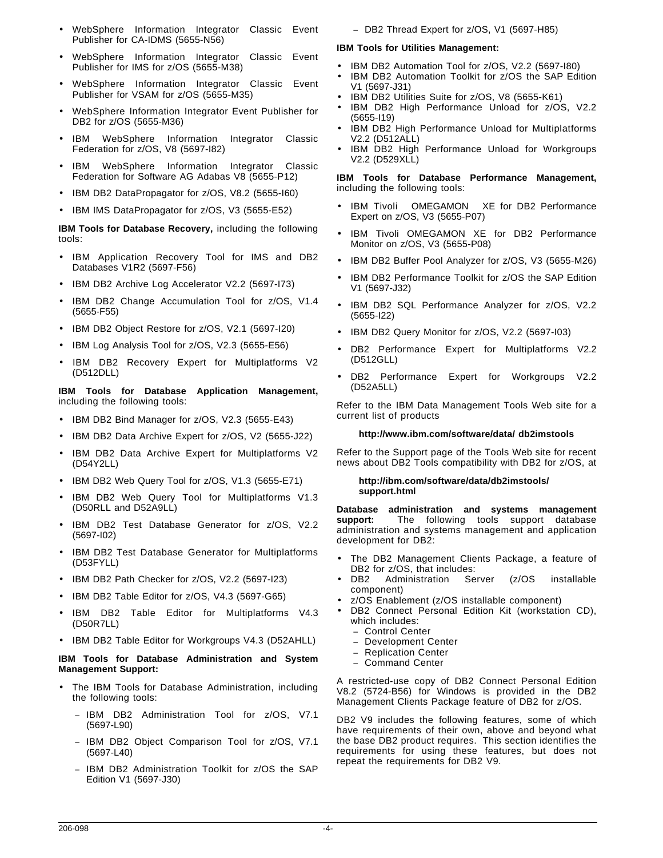- WebSphere Information Integrator Classic Event Publisher for CA-IDMS (5655-N56)
- WebSphere Information Integrator Classic Event Publisher for IMS for z/OS (5655-M38)
- WebSphere Information Integrator Classic Event Publisher for VSAM for z/OS (5655-M35)
- WebSphere Information Integrator Event Publisher for DB2 for z/OS (5655-M36)
- IBM WebSphere Information Integrator Classic Federation for z/OS, V8 (5697-I82)
- IBM WebSphere Information Integrator Classic Federation for Software AG Adabas V8 (5655-P12)
- IBM DB2 DataPropagator for z/OS, V8.2 (5655-I60)
- IBM IMS DataPropagator for z/OS, V3 (5655-E52)

**IBM Tools for Database Recovery,** including the following tools:

- IBM Application Recovery Tool for IMS and DB2 Databases V1R2 (5697-F56)
- IBM DB2 Archive Log Accelerator V2.2 (5697-173)
- IBM DB2 Change Accumulation Tool for z/OS, V1.4 (5655-F55)
- IBM DB2 Object Restore for z/OS, V2.1 (5697-I20)
- IBM Log Analysis Tool for z/OS, V2.3 (5655-E56)
- IBM DB2 Recovery Expert for Multiplatforms V2 (D512DLL)

**IBM Tools for Database Application Management,** including the following tools:

- IBM DB2 Bind Manager for z/OS, V2.3 (5655-E43)
- IBM DB2 Data Archive Expert for z/OS, V2 (5655-J22)
- IBM DB2 Data Archive Expert for Multiplatforms V2 (D54Y2LL)
- IBM DB2 Web Query Tool for z/OS, V1.3 (5655-E71)
- IBM DB2 Web Query Tool for Multiplatforms V1.3 (D50RLL and D52A9LL)
- IBM DB2 Test Database Generator for z/OS, V2.2 (5697-I02)
- IBM DB2 Test Database Generator for Multiplatforms (D53FYLL)
- IBM DB2 Path Checker for z/OS, V2.2 (5697-I23)
- IBM DB2 Table Editor for z/OS, V4.3 (5697-G65)
- IBM DB2 Table Editor for Multiplatforms V4.3 (D50R7LL)
- IBM DB2 Table Editor for Workgroups V4.3 (D52AHLL)

## **IBM Tools for Database Administration and System Management Support:**

- The IBM Tools for Database Administration, including the following tools:
	- − IBM DB2 Administration Tool for z/OS, V7.1 (5697-L90)
	- − IBM DB2 Object Comparison Tool for z/OS, V7.1 (5697-L40)
	- − IBM DB2 Administration Toolkit for z/OS the SAP Edition V1 (5697-J30)

− DB2 Thread Expert for z/OS, V1 (5697-H85)

# **IBM Tools for Utilities Management:**

- IBM DB2 Automation Tool for z/OS, V2.2 (5697-I80)
- IBM DB2 Automation Toolkit for z/OS the SAP Edition V1 (5697-J31)
- IBM DB2 Utilities Suite for z/OS, V8 (5655-K61)
- IBM DB2 High Performance Unload for z/OS, V2.2 (5655-I19)
- IBM DB2 High Performance Unload for Multiplatforms V2.2 (D512ALL)
- IBM DB2 High Performance Unload for Workgroups V2.2 (D529XLL)

#### **IBM Tools for Database Performance Management,** including the following tools:

- IBM Tivoli<sup>®</sup> OMEGAMON<sup>®</sup> XE for DB2 Performance Expert on z/OS, V3 (5655-P07)
- IBM Tivoli OMEGAMON XE for DB2 Performance Monitor on z/OS, V3 (5655-P08)
- IBM DB2 Buffer Pool Analyzer for z/OS, V3 (5655-M26)
- IBM DB2 Performance Toolkit for z/OS the SAP Edition V1 (5697-J32)
- IBM DB2 SQL Performance Analyzer for z/OS, V2.2 (5655-I22)
- IBM DB2 Query Monitor for z/OS, V2.2 (5697-I03)
- DB2 Performance Expert for Multiplatforms V2.2 (D512GLL)
- DB2 Performance Expert for Workgroups V2.2 (D52A5LL)

Refer to the IBM Data Management Tools Web site for a current list of products

## **http://www.ibm.com/software/data/ db2imstools**

Refer to the Support page of the Tools Web site for recent news about DB2 Tools compatibility with DB2 for z/OS, at

#### **http://ibm.com/software/data/db2imstools/ support.html**

**Database administration and systems management support:** The following tools support database administration and systems management and application development for DB2:

- The DB2 Management Clients Package, a feature of DB2 for z/OS, that includes:
- DB2 Administration Server (z/OS installable component)
- z/OS Enablement (z/OS installable component)
- DB2 Connect Personal Edition Kit (workstation CD), which includes:
	- − Control Center
	- − Development Center
	- − Replication Center
	- − Command Center

A restricted-use copy of DB2 Connect Personal Edition V8.2 (5724-B56) for Windows is provided in the DB2 Management Clients Package feature of DB2 for z/OS.

DB2 V9 includes the following features, some of which have requirements of their own, above and beyond what the base DB2 product requires. This section identifies the requirements for using these features, but does not repeat the requirements for DB2 V9.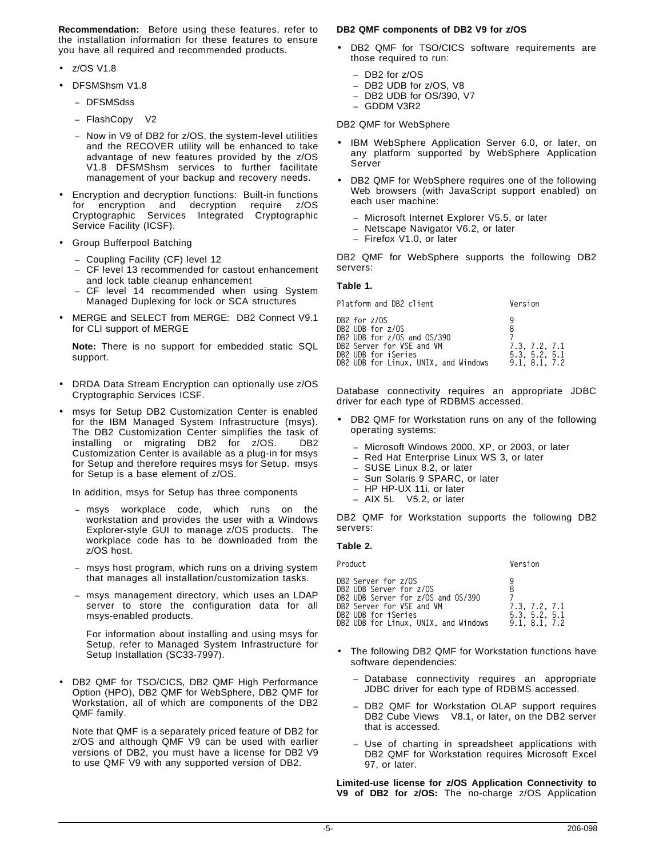**Recommendation:** Before using these features, refer to the installation information for these features to ensure you have all required and recommended products.

- z/OS V1.8
- DFSMShsm V1.8
	- − DFSMSdss
	- − FlashCopy V2
	- Now in V9 of DB2 for z/OS, the system-level utilities and the RECOVER utility will be enhanced to take advantage of new features provided by the z/OS V1.8 DFSMShsm services to further facilitate management of your backup and recovery needs.
- Encryption and decryption functions: Built-in functions for encryption and decryption require z/OS Cryptographic Services Integrated Cryptographic Service Facility (ICSF).
- Group Bufferpool Batching
	- − Coupling Facility (CF) level 12
	- − CF level 13 recommended for castout enhancement and lock table cleanup enhancement
	- CF level 14 recommended when using System Managed Duplexing for lock or SCA structures
- MERGE and SELECT from MERGE: DB2 Connect V9.1 for CLI support of MERGE

**Note:** There is no support for embedded static SQL support.

- DRDA Data Stream Encryption can optionally use z/OS Cryptographic Services ICSF.
- msys for Setup DB2 Customization Center is enabled for the IBM Managed System Infrastructure (msys). The DB2 Customization Center simplifies the task of installing or migrating DB2 for z/OS. DB2 Customization Center is available as a plug-in for msys for Setup and therefore requires msys for Setup. msys for Setup is a base element of z/OS.

In addition, msys for Setup has three components

- − msys workplace code, which runs on the workstation and provides the user with a Windows Explorer-style GUI to manage z/OS products. The workplace code has to be downloaded from the z/OS host.
- − msys host program, which runs on a driving system that manages all installation/customization tasks.
- − msys management directory, which uses an LDAP server to store the configuration data for all msys-enabled products.

For information about installing and using msys for Setup, refer to Managed System Infrastructure for Setup Installation (SC33-7997).

• DB2 QMF for TSO/CICS, DB2 QMF High Performance Option (HPO), DB2 QMF for WebSphere, DB2 QMF for Workstation, all of which are components of the DB2 QMF family.

Note that QMF is a separately priced feature of DB2 for z/OS and although QMF V9 can be used with earlier versions of DB2, you must have a license for DB2 V9 to use QMF V9 with any supported version of DB2.

#### **DB2 QMF components of DB2 V9 for z/OS**

- DB2 QMF for TSO/CICS software requirements are those required to run:
	- − DB2 for z/OS
	- DB2 UDB for z/OS, V8
	- DB2 UDB for OS/390, V7
	- − GDDM V3R2

DB2 QMF for WebSphere

- IBM WebSphere Application Server 6.0, or later, on any platform supported by WebSphere Application Server
- DB2 QMF for WebSphere requires one of the following Web browsers (with JavaScript support enabled) on each user machine:
	- − Microsoft Internet Explorer V5.5, or later
	- − Netscape Navigator V6.2, or later
	- − Firefox V1.0, or later

DB2 QMF for WebSphere supports the following DB2 servers:

#### **Table 1.**

| Platform and DB2 client                                                                                                                                     | Version                                                   |
|-------------------------------------------------------------------------------------------------------------------------------------------------------------|-----------------------------------------------------------|
| DB2 for z/OS<br>DB2 UDB for z/OS<br>DB2 UDB for z/OS and OS/390<br>DB2 Server for VSE and VM<br>DB2 UDB for iSeries<br>DB2 UDB for Linux, UNIX, and Windows | q<br>8<br>7.3. 7.2. 7.1<br>5.3. 5.2. 5.1<br>9.1, 8.1, 7.2 |
|                                                                                                                                                             |                                                           |

Database connectivity requires an appropriate JDBC driver for each type of RDBMS accessed.

- DB2 QMF for Workstation runs on any of the following operating systems:
	- − Microsoft Windows 2000, XP, or 2003, or later
	- Red Hat Enterprise Linux WS 3, or later
	- SUSE Linux 8.2, or later
	- − Sun Solaris 9 SPARC, or later
	- − HP HP-UX 11i, or later
	- AIX 5L™ V5.2, or later

DB2 QMF for Workstation supports the following DB2 servers:

#### **Table 2.**

Product **Version** 

| DB2 Server for z/OS |                                      |   |               |  |
|---------------------|--------------------------------------|---|---------------|--|
|                     | DB2 UDB Server for z/OS              | я |               |  |
|                     |                                      |   |               |  |
|                     | DB2 UDB Server for z/OS and OS/390   |   |               |  |
|                     | DB2 Server for VSE and VM            |   | 7.3. 7.2. 7.1 |  |
| DB2 UDB for iSeries |                                      |   | 5.3. 5.2. 5.1 |  |
|                     | DB2 UDB for Linux. UNIX. and Windows |   | 9.1, 8.1, 7.2 |  |
|                     |                                      |   |               |  |

- The following DB2 QMF for Workstation functions have software dependencies:
	- Database connectivity requires an appropriate JDBC driver for each type of RDBMS accessed.
	- DB2 QMF for Workstation OLAP support requires DB2 Cube Views® V8.1, or later, on the DB2 server that is accessed.
	- Use of charting in spreadsheet applications with DB2 QMF for Workstation requires Microsoft Excel 97, or later.

**Limited-use license for z/OS Application Connectivity to V9 of DB2 for z/OS:** The no-charge z/OS Application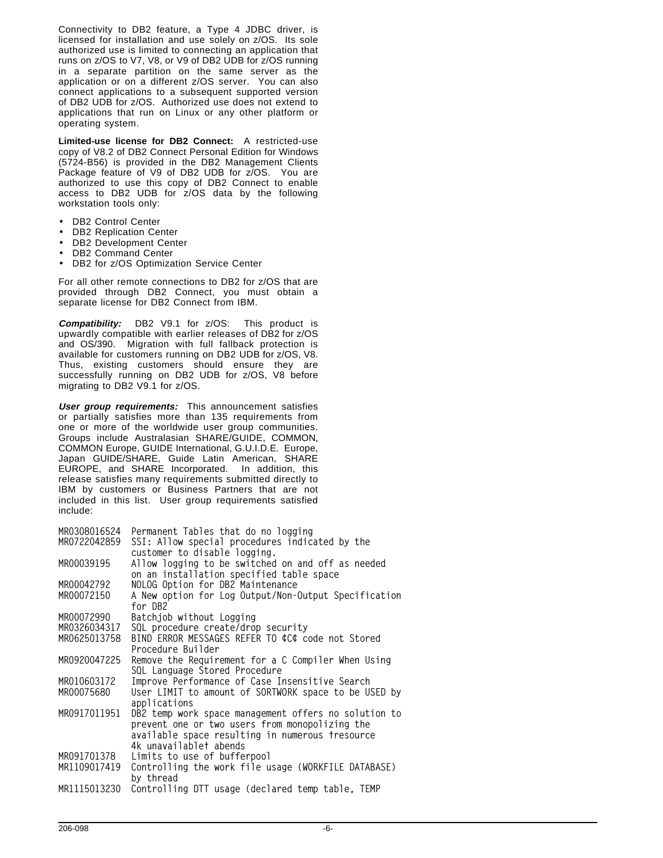Connectivity to DB2 feature, a Type 4 JDBC driver, is licensed for installation and use solely on z/OS. Its sole authorized use is limited to connecting an application that runs on z/OS to V7, V8, or V9 of DB2 UDB for z/OS running in a separate partition on the same server as the application or on a different z/OS server. You can also connect applications to a subsequent supported version of DB2 UDB for z/OS. Authorized use does not extend to applications that run on Linux or any other platform or operating system.

**Limited-use license for DB2 Connect:** A restricted-use copy of V8.2 of DB2 Connect Personal Edition for Windows (5724-B56) is provided in the DB2 Management Clients Package feature of V9 of DB2 UDB for z/OS. You are authorized to use this copy of DB2 Connect to enable access to DB2 UDB for z/OS data by the following workstation tools only:

- DB2 Control Center
- DB2 Replication Center
- DB2 Development Center
- DB2 Command Center
- DB2 for z/OS Optimization Service Center

For all other remote connections to DB2 for z/OS that are provided through DB2 Connect, you must obtain a separate license for DB2 Connect from IBM.

**Compatibility:** DB2 V9.1 for z/OS: This product is upwardly compatible with earlier releases of DB2 for z/OS and OS/390. Migration with full fallback protection is available for customers running on DB2 UDB for z/OS, V8. Thus, existing customers should ensure they are successfully running on DB2 UDB for z/OS, V8 before migrating to DB2 V9.1 for z/OS.

**User group requirements:** This announcement satisfies or partially satisfies more than 135 requirements from one or more of the worldwide user group communities. Groups include Australasian SHARE/GUIDE, COMMON, COMMON Europe, GUIDE International, G.U.I.D.E. Europe, Japan GUIDE/SHARE, Guide Latin American, SHARE EUROPE, and SHARE Incorporated. In addition, this release satisfies many requirements submitted directly to IBM by customers or Business Partners that are not included in this list. User group requirements satisfied include:

| MR0308016524 | Permanent Tables that do no logging                  |
|--------------|------------------------------------------------------|
| MR0722042859 | SSI: Allow special procedures indicated by the       |
|              | customer to disable logging.                         |
| MR00039195   | Allow logging to be switched on and off as needed    |
|              | on an installation specified table space             |
| MR00042792   | NOLOG Option for DB2 Maintenance                     |
| MR00072150   | A New option for Log Output/Non-Output Specification |
|              | for DB2                                              |
| MR00072990   | Batchjob without Logging                             |
| MR0326034317 | SQL procedure create/drop security                   |
| MR0625013758 | BIND ERROR MESSAGES REFER TO ¢C¢ code not Stored     |
|              | Procedure Builder                                    |
| MR0920047225 | Remove the Requirement for a C Compiler When Using   |
|              | SQL Language Stored Procedure                        |
| MR010603172  | Improve Performance of Case Insensitive Search       |
| MR00075680   | User LIMIT to amount of SORTWORK space to be USED by |
|              | applications                                         |
| MR0917011951 | DB2 temp work space management offers no solution to |
|              | prevent one or two users from monopolizing the       |
|              | available space resulting in numerous tresource      |
|              | 4k unavailablet abends                               |
| MR091701378  | Limits to use of bufferpool                          |
| MR1109017419 | Controlling the work file usage (WORKFILE DATABASE)  |
|              | by thread                                            |
| MR1115013230 | Controlling DTT usage (declared temp table, TEMP     |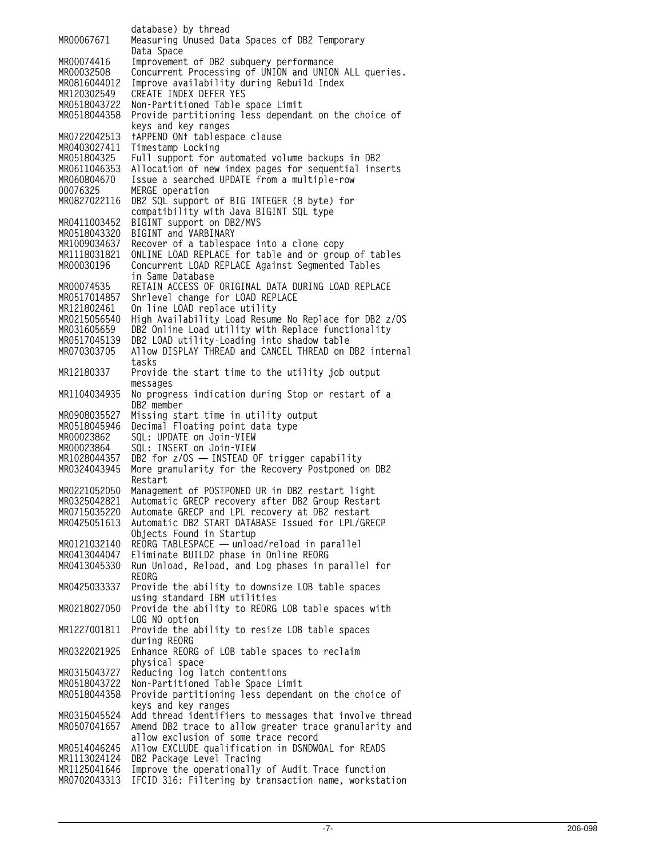**database) by thread MR00067671 Measuring Unused Data Spaces of DB2 Temporary Data Space MR00074416 Improvement of DB2 subquery performance MR00032508 Concurrent Processing of UNION and UNION ALL queries. MR0816044012 Improve availability during Rebuild Index** CREATE INDEX DEFER YES **MR0518043722 Non-Partitioned Table space Limit** Provide partitioning less dependant on the choice of **keys and key ranges MR0722042513 †APPEND ON† tablespace clause MR0403027411 Timestamp Locking MR051804325 Full support for automated volume backups in DB2** Allocation of new index pages for sequential inserts **MR060804670 Issue a searched UPDATE from a multiple-row 00076325 MERGE operation** DB2 SQL support of BIG INTEGER (8 byte) for **compatibility with Java BIGINT SQL type MR0411003452 BIGINT support on DB2/MVS MR0518043320 BIGINT and VARBINARY MR1009034637 Recover of a tablespace into a clone copy ONLINE LOAD REPLACE for table and or group of tables MR00030196 Concurrent LOAD REPLACE Against Segmented Tables in Same Database MR00074535 RETAIN ACCESS OF ORIGINAL DATA DURING LOAD REPLACE MR0517014857 Shrlevel change for LOAD REPLACE** On line LOAD replace utility **MR0215056540 High Availability Load Resume No Replace for DB2 z/OS MR031605659 DB2 Online Load utility with Replace functionality MR0517045139 DB2 LOAD utility-Loading into shadow table MR070303705 Allow DISPLAY THREAD and CANCEL THREAD on DB2 internal tasks MR12180337 Provide the start time to the utility job output messages MR1104034935 No progress indication during Stop or restart of a DB2 member MR0908035527 Missing start time in utility output MR0518045946 Decimal Floating point data type MR00023862 SQL: UPDATE on Join-VIEW MR00023864 SQL: INSERT on Join-VIEW MR1028044357 DB2 for z/OS — INSTEAD OF trigger capability** More granularity for the Recovery Postponed on DB2 **Restart MR0221052050 Management of POSTPONED UR in DB2 restart light MR0325042821 Automatic GRECP recovery after DB2 Group Restart MR0715035220 Automate GRECP and LPL recovery at DB2 restart** Automatic DB2 START DATABASE Issued for LPL/GRECP **Objects Found in Startup MR0121032140 REORG TABLESPACE — unload/reload in parallel MR0413044047 Eliminate BUILD2 phase in Online REORG** Run Unload, Reload, and Log phases in parallel for **REORG MR0425033337 Provide the ability to downsize LOB table spaces using standard IBM utilities MR0218027050 Provide the ability to REORG LOB table spaces with LOG NO option MR1227001811 Provide the ability to resize LOB table spaces during REORG MR0322021925 Enhance REORG of LOB table spaces to reclaim physical space MR0315043727 Reducing log latch contentions MR0518043722 Non-Partitioned Table Space Limit** Provide partitioning less dependant on the choice of **keys and key ranges MR0315045524 Add thread identifiers to messages that involve thread** Amend DB2 trace to allow greater trace granularity and **allow exclusion of some trace record MR0514046245 Allow EXCLUDE qualification in DSNDWQAL for READS MR1113024124 DB2 Package Level Tracing MR1125041646 Improve the operationally of Audit Trace function MR0702043313 IFCID 316: Filtering by transaction name, workstation**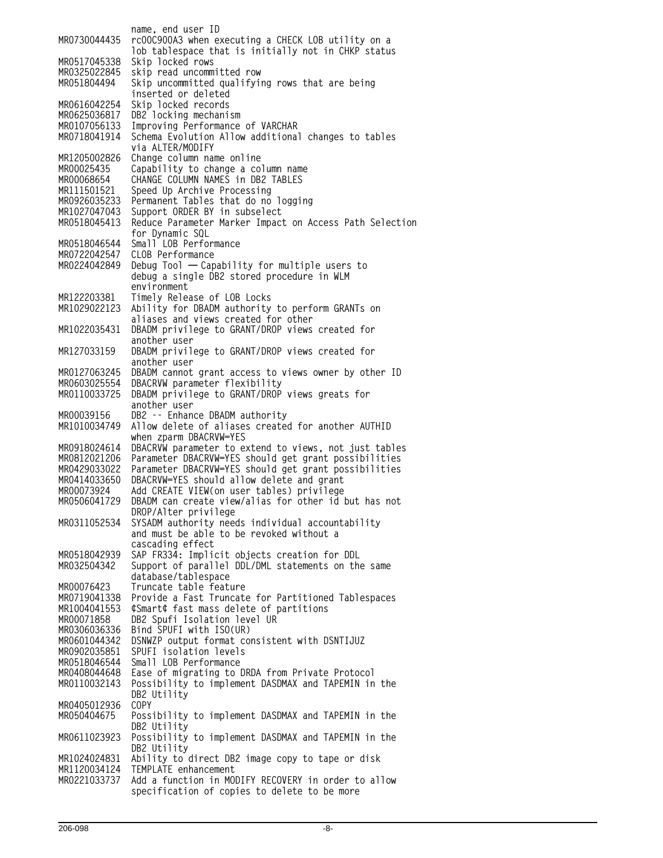**name, end user ID MR0730044435 rc00C900A3 when executing a CHECK LOB utility on a lob tablespace that is initially not in CHKP status MR0517045338 Skip locked rows MR0325022845 skip read uncommitted row** Skip uncommitted qualifying rows that are being **inserted or deleted MR0616042254 Skip locked records** DB2 locking mechanism **MR0107056133 Improving Performance of VARCHAR** Schema Evolution Allow additional changes to tables **via ALTER/MODIFY MR1205002826 Change column name online MR00025435 Capability to change a column name MR00068654 CHANGE COLUMN NAMES in DB2 TABLES MR111501521 Speed Up Archive Processing** Permanent Tables that do no logging **MR1027047043 Support ORDER BY in subselect MR0518045413 Reduce Parameter Marker Impact on Access Path Selection for Dynamic SQL MR0518046544 Small LOB Performance** CLOB Performance **MR0224042849 Debug Tool — Capability for multiple users to debug a single DB2 stored procedure in WLM environment MR122203381 Timely Release of LOB Locks** Ability for DBADM authority to perform GRANTs on **aliases and views created for other MR1022035431 DBADM privilege to GRANT/DROP views created for another user MR127033159 DBADM privilege to GRANT/DROP views created for another user MR0127063245 DBADM cannot grant access to views owner by other ID MR0603025554 DBACRVW parameter flexibility MR0110033725 DBADM privilege to GRANT/DROP views greats for another user MR00039156 DB2 -- Enhance DBADM authority MR1010034749 Allow delete of aliases created for another AUTHID when zparm DBACRVW=YES MR0918024614 DBACRVW parameter to extend to views, not just tables MR0812021206 Parameter DBACRVW=YES should get grant possibilities** Parameter DBACRVW=YES should get grant possibilities **MR0414033650 DBACRVW=YES should allow delete and grant MR00073924 Add CREATE VIEW(on user tables) privilege MR0506041729 DBADM can create view/alias for other id but has not DROP/Alter privilege MR0311052534 SYSADM authority needs individual accountability and must be able to be revoked without a cascading effect MR0518042939 SAP FR334: Implicit objects creation for DDL** Support of parallel DDL/DML statements on the same **database/tablespace MR00076423 Truncate table feature MR0719041338 Provide a Fast Truncate for Partitioned Tablespaces MR1004041553 ¢Smart¢ fast mass delete of partitions MR00071858 DB2 Spufi Isolation level UR** Bind SPUFI with ISO(UR) **MR0601044342 DSNWZP output format consistent with DSNTIJUZ MR0902035851 SPUFI isolation levels MR0518046544 Small LOB Performance MR0408044648 Ease of migrating to DRDA from Private Protocol** Possibility to implement DASDMAX and TAPEMIN in the **DB2 Utility MR0405012936 COPY MR050404675 Possibility to implement DASDMAX and TAPEMIN in the DB2 Utility MR0611023923 Possibility to implement DASDMAX and TAPEMIN in the DB2 Utility MR1024024831 Ability to direct DB2 image copy to tape or disk MR1120034124 TEMPLATE enhancement MR0221033737 Add a function in MODIFY RECOVERY in order to allow specification of copies to delete to be more**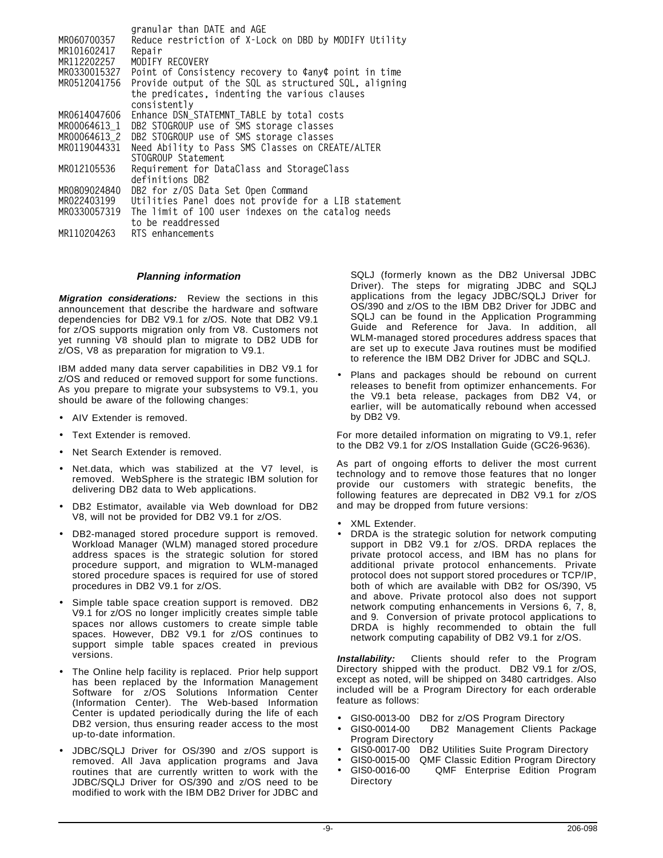|              | granular than DATE and AGE                            |
|--------------|-------------------------------------------------------|
| MR060700357  | Reduce restriction of X-Lock on DBD by MODIFY Utility |
| MR101602417  | Repair                                                |
| MR112202257  | MODIFY RECOVERY                                       |
| MR0330015327 | Point of Consistency recovery to ¢any¢ point in time  |
| MR0512041756 | Provide output of the SQL as structured SQL, aligning |
|              | the predicates, indenting the various clauses         |
|              | consistently                                          |
| MR0614047606 | Enhance DSN_STATEMNT_TABLE by total costs             |
| MR00064613 1 | DB2 STOGROUP use of SMS storage classes               |
| MR00064613 2 | DB2 STOGROUP use of SMS storage classes               |
| MR0119044331 | Need Ability to Pass SMS Classes on CREATE/ALTER      |
|              | STOGROUP Statement                                    |
| MR012105536  | Requirement for DataClass and StorageClass            |
|              | definitions DB2                                       |
| MR0809024840 | DB2 for z/OS Data Set Open Command                    |
| MR022403199  | Utilities Panel does not provide for a LIB statement  |
| MR0330057319 | The limit of 100 user indexes on the catalog needs    |
|              | to be readdressed                                     |
| MR110204263  | RTS enhancements                                      |

#### **Planning information**

**Migration considerations:** Review the sections in this announcement that describe the hardware and software dependencies for DB2 V9.1 for z/OS. Note that DB2 V9.1 for z/OS supports migration only from V8. Customers not yet running V8 should plan to migrate to DB2 UDB for z/OS, V8 as preparation for migration to V9.1.

IBM added many data server capabilities in DB2 V9.1 for z/OS and reduced or removed support for some functions. As you prepare to migrate your subsystems to V9.1, you should be aware of the following changes:

- AIV Extender is removed.
- Text Extender is removed.
- Net Search Extender is removed.
- Net.data, which was stabilized at the V7 level, is removed. WebSphere is the strategic IBM solution for delivering DB2 data to Web applications.
- DB2 Estimator, available via Web download for DB2 V8, will not be provided for DB2 V9.1 for z/OS.
- DB2-managed stored procedure support is removed. Workload Manager (WLM) managed stored procedure address spaces is the strategic solution for stored procedure support, and migration to WLM-managed stored procedure spaces is required for use of stored procedures in DB2 V9.1 for z/OS.
- Simple table space creation support is removed. DB2 V9.1 for z/OS no longer implicitly creates simple table spaces nor allows customers to create simple table spaces. However, DB2 V9.1 for z/OS continues to support simple table spaces created in previous versions.
- The Online help facility is replaced. Prior help support has been replaced by the Information Management Software for z/OS Solutions Information Center (Information Center). The Web-based Information Center is updated periodically during the life of each DB2 version, thus ensuring reader access to the most up-to-date information.
- JDBC/SQLJ Driver for OS/390 and z/OS support is removed. All Java application programs and Java routines that are currently written to work with the JDBC/SQLJ Driver for OS/390 and z/OS need to be modified to work with the IBM DB2 Driver for JDBC and

SQLJ (formerly known as the DB2 Universal JDBC Driver). The steps for migrating JDBC and SQLJ applications from the legacy JDBC/SQLJ Driver for OS/390 and z/OS to the IBM DB2 Driver for JDBC and SQLJ can be found in the Application Programming Guide and Reference for Java. In addition, all WLM-managed stored procedures address spaces that are set up to execute Java routines must be modified to reference the IBM DB2 Driver for JDBC and SQLJ.

Plans and packages should be rebound on current releases to benefit from optimizer enhancements. For the V9.1 beta release, packages from DB2 V4, or earlier, will be automatically rebound when accessed by DB2 V9.

For more detailed information on migrating to V9.1, refer to the DB2 V9.1 for z/OS Installation Guide (GC26-9636).

As part of ongoing efforts to deliver the most current technology and to remove those features that no longer provide our customers with strategic benefits, the following features are deprecated in DB2 V9.1 for z/OS and may be dropped from future versions:

- XML Extender.
- DRDA is the strategic solution for network computing support in DB2 V9.1 for z/OS. DRDA replaces the private protocol access, and IBM has no plans for additional private protocol enhancements. Private protocol does not support stored procedures or TCP/IP, both of which are available with DB2 for OS/390, V5 and above. Private protocol also does not support network computing enhancements in Versions 6, 7, 8, and 9. Conversion of private protocol applications to DRDA is highly recommended to obtain the full network computing capability of DB2 V9.1 for z/OS.

**Installability:** Clients should refer to the Program Directory shipped with the product. DB2 V9.1 for z/OS, except as noted, will be shipped on 3480 cartridges. Also included will be a Program Directory for each orderable feature as follows:

- GIS0-0013-00 DB2 for z/OS Program Directory<br>GIS0-0014-00 DB2 Management Clients Pa
- DB2 Management Clients Package Program Directory
- GIS0-0017-00 DB2 Utilities Suite Program Directory
- GIS0-0015-00 QMF Classic Edition Program Directory<br>GIS0-0016-00 QMF Enterprise Edition Program QMF Enterprise Edition Program **Directory**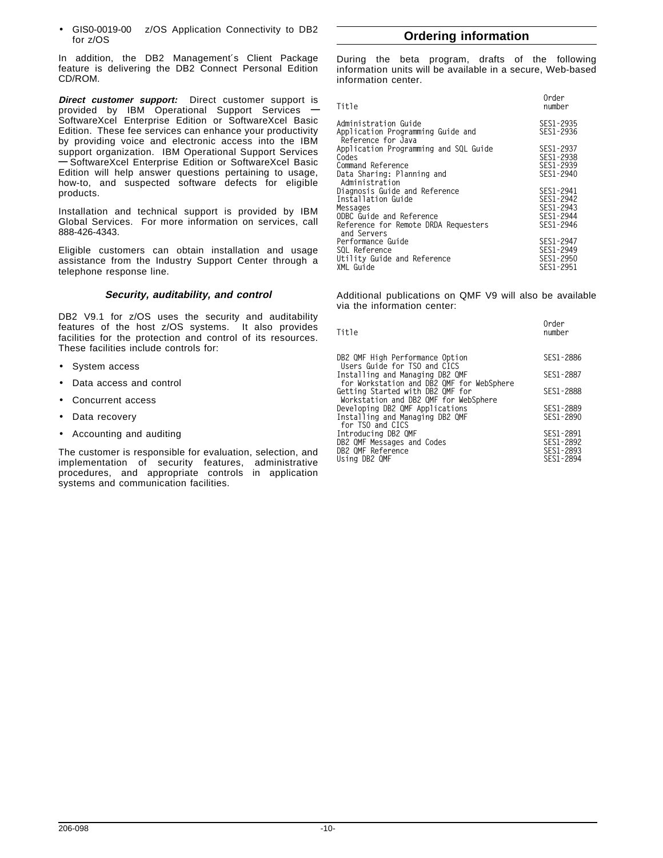GIS0-0019-00 z/OS Application Connectivity to DB2 for z/OS

In addition, the DB2 Management′s Client Package feature is delivering the DB2 Connect Personal Edition CD/ROM.

**Direct customer support:** Direct customer support is provided by IBM Operational Support Services **—** SoftwareXcel Enterprise Edition or SoftwareXcel Basic Edition. These fee services can enhance your productivity by providing voice and electronic access into the IBM support organization. IBM Operational Support Services **—** SoftwareXcel Enterprise Edition or SoftwareXcel Basic Edition will help answer questions pertaining to usage, how-to, and suspected software defects for eligible products.

Installation and technical support is provided by IBM Global Services. For more information on services, call 888-426-4343.

Eligible customers can obtain installation and usage assistance from the Industry Support Center through a telephone response line.

## **Security, auditability, and control**

DB2 V9.1 for z/OS uses the security and auditability features of the host z/OS systems. It also provides facilities for the protection and control of its resources. These facilities include controls for:

- System access
- Data access and control
- Concurrent access
- Data recovery
- Accounting and auditing

The customer is responsible for evaluation, selection, and implementation of security features, administrative procedures, and appropriate controls in application systems and communication facilities.

# **Ordering information**

During the beta program, drafts of the following information units will be available in a secure, Web-based information center.

| Title                                                                           | Order<br>number                     |
|---------------------------------------------------------------------------------|-------------------------------------|
| Administration Guide<br>Application Programming Guide and<br>Reference for Java | SES1-2935<br>SES1-2936              |
| Application Programming and SQL Guide<br>Codes                                  | SES1-2937<br>SES1-2938              |
| Command Reference<br>Data Sharing: Planning and<br>Administration               | SES1-2939<br>SES1-2940              |
| Diagnosis Guide and Reference<br>Installation Guide                             | SES1-2941<br>SES1-2942              |
| Messages<br>ODBC Guide and Reference<br>Reference for Remote DRDA Requesters    | SES1-2943<br>SES1-2944<br>SES1-2946 |
| and Servers<br>Performance Guide                                                | SES1-2947                           |
| SOL Reference<br>Utility Guide and Reference<br>XML Guide                       | SES1-2949<br>SES1-2950<br>SES1-2951 |
|                                                                                 |                                     |

Additional publications on QMF V9 will also be available via the information center:

**Order**

| uruer<br>number                                  |
|--------------------------------------------------|
| SES1-2886                                        |
| SES1-2887                                        |
| SES1-2888                                        |
| SES1-2889<br>SES1-2890                           |
| SES1-2891<br>SES1-2892<br>SES1-2893<br>SES1-2894 |
|                                                  |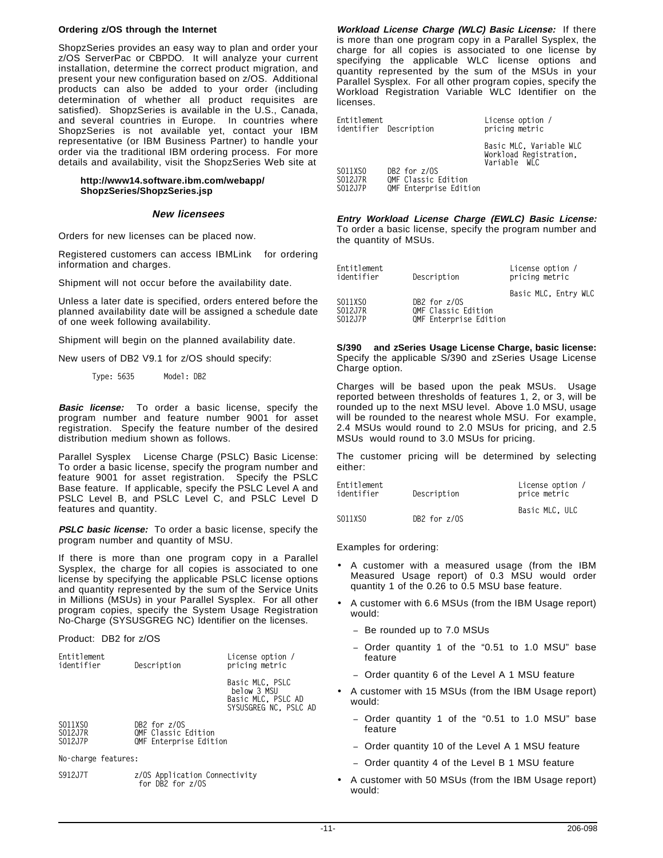#### **Ordering z/OS through the Internet**

ShopzSeries provides an easy way to plan and order your z/OS ServerPac or CBPDO. It will analyze your current installation, determine the correct product migration, and present your new configuration based on z/OS. Additional products can also be added to your order (including determination of whether all product requisites are satisfied). ShopzSeries is available in the U.S., Canada, and several countries in Europe. In countries where ShopzSeries is not available yet, contact your IBM representative (or IBM Business Partner) to handle your order via the traditional IBM ordering process. For more details and availability, visit the ShopzSeries Web site at

#### **http://www14.software.ibm.com/webapp/ ShopzSeries/ShopzSeries.jsp**

#### **New licensees**

Orders for new licenses can be placed now.

Registered customers can access IBMLink™ for ordering information and charges.

Shipment will not occur before the availability date.

Unless a later date is specified, orders entered before the planned availability date will be assigned a schedule date of one week following availability.

Shipment will begin on the planned availability date.

New users of DB2 V9.1 for z/OS should specify:

**Type: 5635 Model: DB2**

**Basic license:** To order a basic license, specify the program number and feature number 9001 for asset registration. Specify the feature number of the desired distribution medium shown as follows.

Parallel Sysplex® License Charge (PSLC) Basic License: To order a basic license, specify the program number and feature 9001 for asset registration. Specify the PSLC Base feature. If applicable, specify the PSLC Level A and PSLC Level B, and PSLC Level C, and PSLC Level D features and quantity.

**PSLC basic license:** To order a basic license, specify the program number and quantity of MSU.

If there is more than one program copy in a Parallel Sysplex, the charge for all copies is associated to one license by specifying the applicable PSLC license options and quantity represented by the sum of the Service Units in Millions (MSUs) in your Parallel Sysplex. For all other program copies, specify the System Usage Registration No-Charge (SYSUSGREG NC) Identifier on the licenses.

Product: DB2 for z/OS

| Entitlement<br>identifier     | Description                                                   | License option /<br>pricing metric                                            |
|-------------------------------|---------------------------------------------------------------|-------------------------------------------------------------------------------|
|                               |                                                               | Basic MLC. PSLC<br>below 3 MSU<br>Basic MLC, PSLC AD<br>SYSUSGREG NC. PSLC AD |
| S011XS0<br>S012J7R<br>S012J7P | DB2 for z/OS<br>OMF Classic Edition<br>OMF Enterprise Edition |                                                                               |

**No-charge features:**

**S912J7T z/OS Application Connectivity for DB2 for z/OS**

**Workload License Charge (WLC) Basic License:** If there is more than one program copy in a Parallel Sysplex, the charge for all copies is associated to one license by specifying the applicable WLC license options and quantity represented by the sum of the MSUs in your Parallel Sysplex. For all other program copies, specify the Workload Registration Variable WLC Identifier on the licenses.

| Entitlement<br>identifier Description |                        | License option /<br>pricing metric                                |
|---------------------------------------|------------------------|-------------------------------------------------------------------|
|                                       |                        | Basic MLC. Variable WLC<br>Workload Registration.<br>Variable WLC |
| SO11XSO                               | DB2 for z/OS           |                                                                   |
| S012J7R                               | QMF Classic Edition    |                                                                   |
| S012J7P                               | QMF Enterprise Edition |                                                                   |

**Entry Workload License Charge (EWLC) Basic License:** To order a basic license, specify the program number and the quantity of MSUs.

| Entitlement<br>identifier     | Description                                                   | License option /<br>pricing metric |
|-------------------------------|---------------------------------------------------------------|------------------------------------|
| S011XS0<br>S012J7R<br>S012J7P | DB2 for z/OS<br>OMF Classic Edition<br>QMF Enterprise Edition | Basic MLC, Entry WLC               |

**S/390 and zSeries Usage License Charge, basic license:** Specify the applicable S/390 and zSeries Usage License Charge option.

Charges will be based upon the peak MSUs. Usage reported between thresholds of features 1, 2, or 3, will be rounded up to the next MSU level. Above 1.0 MSU, usage will be rounded to the nearest whole MSU. For example, 2.4 MSUs would round to 2.0 MSUs for pricing, and 2.5 MSUs would round to 3.0 MSUs for pricing.

The customer pricing will be determined by selecting either:

| Entitlement<br>identifier | Description  | License option /<br>price metric |
|---------------------------|--------------|----------------------------------|
| S011XS0                   | DB2 for z/OS | Basic MLC. ULC                   |

Examples for ordering:

- A customer with a measured usage (from the IBM Measured Usage report) of 0.3 MSU would order quantity 1 of the 0.26 to 0.5 MSU base feature.
- A customer with 6.6 MSUs (from the IBM Usage report) would:
	- − Be rounded up to 7.0 MSUs
	- − Order quantity 1 of the "0.51 to 1.0 MSU" base feature
	- − Order quantity 6 of the Level A 1 MSU feature
- A customer with 15 MSUs (from the IBM Usage report) would:
	- Order quantity 1 of the "0.51 to 1.0 MSU" base feature
	- − Order quantity 10 of the Level A 1 MSU feature
	- − Order quantity 4 of the Level B 1 MSU feature
- A customer with 50 MSUs (from the IBM Usage report) would: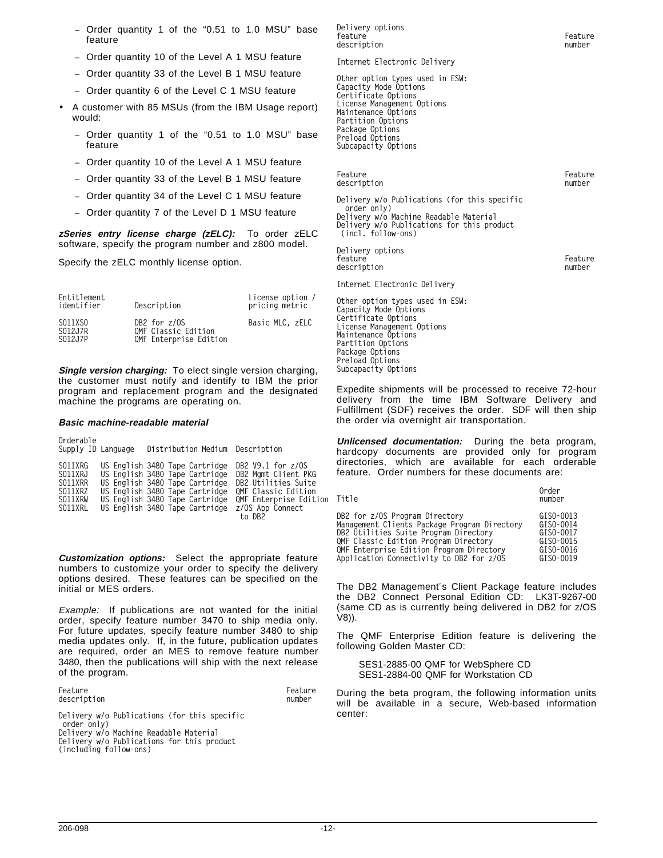- − Order quantity 1 of the "0.51 to 1.0 MSU" base feature
- − Order quantity 10 of the Level A 1 MSU feature
- − Order quantity 33 of the Level B 1 MSU feature
- − Order quantity 6 of the Level C 1 MSU feature
- A customer with 85 MSUs (from the IBM Usage report) would:
	- Order quantity 1 of the "0.51 to 1.0 MSU" base feature
	- − Order quantity 10 of the Level A 1 MSU feature
	- − Order quantity 33 of the Level B 1 MSU feature
	- − Order quantity 34 of the Level C 1 MSU feature
	- − Order quantity 7 of the Level D 1 MSU feature

**zSeries entry license charge (zELC):** To order zELC software, specify the program number and z800 model.

Specify the zELC monthly license option.

| Entitlement<br>identifier     | Description                                                   | License option /<br>pricing metric |
|-------------------------------|---------------------------------------------------------------|------------------------------------|
| S011XS0<br>S012J7R<br>S012J7P | DB2 for z/OS<br>OMF Classic Edition<br>QMF Enterprise Edition | Basic MLC. ZELC                    |

**Single version charging:** To elect single version charging, the customer must notify and identify to IBM the prior program and replacement program and the designated machine the programs are operating on.

#### **Basic machine-readable material**

| Orderable<br>Supply ID Language                                | Distribution Medium Description                                                                                                                                                                          |                                                                                                                                                    |
|----------------------------------------------------------------|----------------------------------------------------------------------------------------------------------------------------------------------------------------------------------------------------------|----------------------------------------------------------------------------------------------------------------------------------------------------|
| S011XRG<br>S011XRJ<br>S011XRR<br>S011XRZ<br>SO11XRW<br>S011XRL | US English 3480 Tape Cartridge<br>US English 3480 Tape Cartridge<br>US English 3480 Tape Cartridge<br>US English 3480 Tape Cartridge<br>US English 3480 Tape Cartridge<br>US English 3480 Tape Cartridge | DB2 $V9.1$ for $z/0S$<br>DB2 Mamt Client PKG<br>DB2 Utilities Suite<br>OMF Classic Edition<br>QMF Enterprise Edition<br>z/OS App Connect<br>to DB2 |

**Customization options:** Select the appropriate feature numbers to customize your order to specify the delivery options desired. These features can be specified on the initial or MES orders.

Example: If publications are not wanted for the initial order, specify feature number 3470 to ship media only. For future updates, specify feature number 3480 to ship media updates only. If, in the future, publication updates are required, order an MES to remove feature number 3480, then the publications will ship with the next release of the program.

Feature **Feature Feature** description **number** number

**Delivery w/o Publications (for this specific order only)**

**Delivery w/o Machine Readable Material Delivery w/o Publications for this product**

**(including follow-ons)**

**Delivery options** feature **Feature** Feature description **number** 

**Internet Electronic Delivery**

**Other option types used in ESW: Capacity Mode Options Certificate Options License Management Options Maintenance Options Partition Options Package Options Preload Options Subcapacity Options**

| Feature<br>description                                                                                                                                                    | Feature<br>number |
|---------------------------------------------------------------------------------------------------------------------------------------------------------------------------|-------------------|
| Delivery w/o Publications (for this specific<br>order only)<br>Delivery w/o Machine Readable Material<br>Delivery w/o Publications for this product<br>(incl. follow-ons) |                   |
| Delivery options<br>feature<br>description                                                                                                                                | Feature<br>number |

**Internet Electronic Delivery**

**Other option types used in ESW: Capacity Mode Options Certificate Options License Management Options Maintenance Options Partition Options Package Options Preload Options Subcapacity Options**

Expedite shipments will be processed to receive 72-hour delivery from the time IBM Software Delivery and Fulfillment (SDF) receives the order. SDF will then ship the order via overnight air transportation.

**Unlicensed documentation:** During the beta program, hardcopy documents are provided only for program directories, which are available for each orderable feature. Order numbers for these documents are:

**Order**

| Title<br>number                              |           |
|----------------------------------------------|-----------|
| DB2 for z/OS Program Directory               | GISO-0013 |
| Management Clients Package Program Directory | GISO-0014 |
| DB2 Utilities Suite Program Directory        | GISO-0017 |
| QMF Classic Edition Program Directory        | GISO-0015 |
| QMF Enterprise Edition Program Directory     | GISO-0016 |
| Application Connectivity to DB2 for z/OS     | GISO-0019 |

The DB2 Management′s Client Package feature includes the DB2 Connect Personal Edition CD: LK3T-9267-00 (same CD as is currently being delivered in DB2 for z/OS V8)).

The QMF Enterprise Edition feature is delivering the following Golden Master CD:

SES1-2885-00 QMF for WebSphere CD SES1-2884-00 QMF for Workstation CD

During the beta program, the following information units will be available in a secure, Web-based information center:

206-098 -12-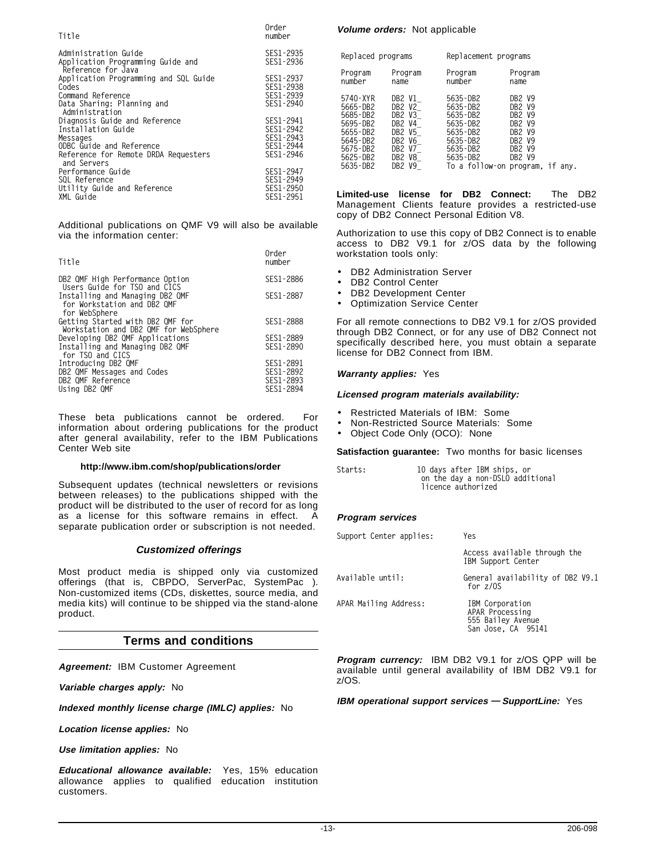| Title                                                                                                                                                 | Order<br>number                                               |
|-------------------------------------------------------------------------------------------------------------------------------------------------------|---------------------------------------------------------------|
| Administration Guide<br>Application Programming Guide and<br>Reference for Java                                                                       | SES1-2935<br>SES1-2936                                        |
| Application Programming and SQL Guide<br>Codes<br>Command Reference<br>Data Sharing: Planning and                                                     | SES1-2937<br>SES1-2938<br>SES1-2939<br>SES1-2940              |
| Administration<br>Diagnosis Guide and Reference<br>Installation Guide<br>Messages<br>ODBC Guide and Reference<br>Reference for Remote DRDA Requesters | SES1-2941<br>SES1-2942<br>SES1-2943<br>SES1-2944<br>SES1-2946 |
| and Servers<br>Performance Guide<br>SOL Reference<br>Utility Guide and Reference<br>XML Guide                                                         | SES1-2947<br>SES1-2949<br>SES1-2950<br>SES1-2951              |

Additional publications on QMF V9 will also be available via the information center:

**Order**

| Title                                                                           | number                 |
|---------------------------------------------------------------------------------|------------------------|
| DB2 QMF High Performance Option<br>Users Guide for TSO and CICS                 | SES1-2886              |
| Installing and Managing DB2 QMF<br>for Workstation and DB2 OMF<br>for WebSphere | SES1-2887              |
| Getting Started with DB2 QMF for<br>Workstation and DB2 QMF for WebSphere       | SES1-2888              |
| Developing DB2 QMF Applications                                                 | SES1-2889              |
| Installing and Managing DB2 QMF<br>for TSO and CICS                             | SES1-2890              |
| Introducing DB2 QMF                                                             | SES1-2891              |
| DB2 QMF Messages and Codes                                                      | SES1-2892              |
| DB2 QMF Reference<br>Using DB2 QMF                                              | SES1-2893<br>SES1-2894 |
|                                                                                 |                        |

These beta publications cannot be ordered. For information about ordering publications for the product after general availability, refer to the IBM Publications Center Web site

#### **http://www.ibm.com/shop/publications/order**

Subsequent updates (technical newsletters or revisions between releases) to the publications shipped with the product will be distributed to the user of record for as long as a license for this software remains in effect. A separate publication order or subscription is not needed.

#### **Customized offerings**

Most product media is shipped only via customized offerings (that is, CBPDO, ServerPac, SystemPac<sup>®</sup>). Non-customized items (CDs, diskettes, source media, and media kits) will continue to be shipped via the stand-alone product.

## **Terms and conditions**

**Agreement:** IBM Customer Agreement

**Variable charges apply:** No

**Indexed monthly license charge (IMLC) applies:** No

**Location license applies:** No

**Use limitation applies:** No

**Educational allowance available:** Yes, 15% education allowance applies to qualified education institution customers.

#### **Volume orders:** Not applicable

| Replaced programs                                                                                        |                                                                                        | Replacement programs                                                                                           |                                                                                                                                                                                                                                |
|----------------------------------------------------------------------------------------------------------|----------------------------------------------------------------------------------------|----------------------------------------------------------------------------------------------------------------|--------------------------------------------------------------------------------------------------------------------------------------------------------------------------------------------------------------------------------|
| Program<br>number                                                                                        | Program<br>name                                                                        | Program<br>number                                                                                              | Program<br>name                                                                                                                                                                                                                |
| 5740-XYR<br>5665-DB2<br>5685-DB2<br>5695-DB2<br>5655-DB2<br>5645-DB2<br>5675-DB2<br>5625-DB2<br>5635-DB2 | DB2 V1<br>DB2 V2<br>DB2 V3<br>DB2 V4<br>DB2 V5<br>DB2 V6<br>DB2 V7<br>DB2 V8<br>DB2 V9 | 5635-DB2<br>5635-DB2<br>5635-DB2<br>5635-DB2<br>5635-DB2<br>5635-DB2<br>5635-DB2<br>5635-DB2<br>To a follow-on | DR2 V9<br>DR <sub>2</sub> V <sub>9</sub><br>DR <sub>2</sub> V <sub>9</sub><br>DR <sub>2</sub> V <sub>9</sub><br>DR <sub>2</sub> V <sub>9</sub><br>DR <sub>2</sub> V <sub>9</sub><br>DB2 V9<br>DB2 V9<br>program.<br>if<br>any. |

**Limited-use license for DB2 Connect:** The DB2 Management Clients feature provides a restricted-use copy of DB2 Connect Personal Edition V8.

Authorization to use this copy of DB2 Connect is to enable access to DB2 V9.1 for z/OS data by the following workstation tools only:

- DB2 Administration Server
- DB2 Control Center
- DB2 Development Center
- Optimization Service Center

For all remote connections to DB2 V9.1 for z/OS provided through DB2 Connect, or for any use of DB2 Connect not specifically described here, you must obtain a separate license for DB2 Connect from IBM.

#### **Warranty applies:** Yes

#### **Licensed program materials availability:**

- Restricted Materials of IBM: Some
- Non-Restricted Source Materials: Some
- Object Code Only (OCO): None

#### **Satisfaction guarantee:** Two months for basic licenses

| Starts: | 10 days after IBM ships, or      |
|---------|----------------------------------|
|         | on the day a non-DSLO additional |
|         | licence authorized               |

#### **Program services**

| Support Center applies: | Yes                                                                           |
|-------------------------|-------------------------------------------------------------------------------|
|                         | Access available through the<br>IBM Support Center                            |
| Available until:        | General availability of DB2 V9.1<br>for $z/0S$                                |
| APAR Mailing Address:   | IBM Corporation<br>APAR Processing<br>555 Bailey Avenue<br>San Jose, CA 95141 |

**Program currency:** IBM DB2 V9.1 for z/OS QPP will be available until general availability of IBM DB2 V9.1 for z/OS.

**IBM operational support services — SupportLine:** Yes